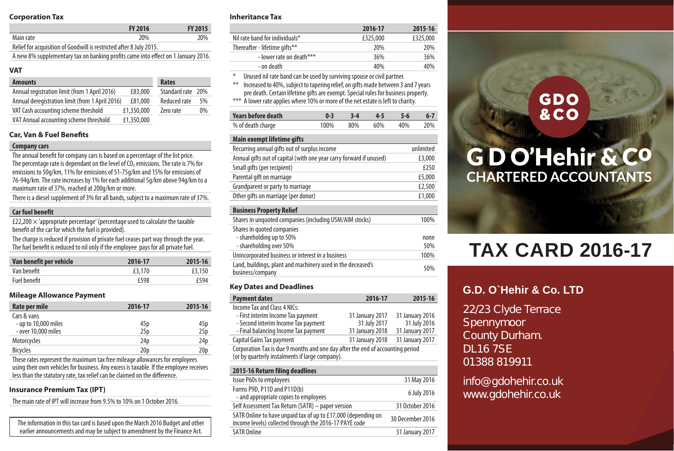## **Corporation Tax**

|                                                                                   | <b>FY 2016</b> | FY 2015 |
|-----------------------------------------------------------------------------------|----------------|---------|
| Main rate                                                                         | 20%            | 20%     |
| Relief for acquisition of Goodwill is restricted after 8 July 2015.               |                |         |
| A new 8% supplementary tax on banking profits came into effect on 1 January 2016. |                |         |

## **VAT**

| <b>Amounts</b>                                  |            | Rates             |    |
|-------------------------------------------------|------------|-------------------|----|
| Annual registration limit (from 1 April 2016)   | £83,000    | Standard rate 20% |    |
| Annual deregistration limit (from 1 April 2016) | £81.000    | Reduced rate      | 5% |
| VAT Cash accounting scheme threshold            | £1,350,000 | Zero rate         | 0% |
| VAT Annual accounting scheme threshold          | £1,350,000 |                   |    |

## **Car, Van & Fuel Benefits**

#### **Companycars**

The annual benefit for company cars is based on a percentage of the list price. The percentage rate is dependant on the level of  $O<sub>2</sub>$  emissions. The rate is 7% for emissions to 50g/km, 11% for emissions of 51-75g/km and 15% for emissions of 76-94g/km. The rate increases by 1% for each additional 5g/km above 94g/km toa maximum rate of 37%, reached at 200g/km or more.

There is a diesel supplement of 3% for all bands, subject to a maximum rate of 37%.

## **Car fuel benefit**

£22,200  $\times$  'appropriate percentage' (percentage used to calculate the taxable benefit of the car for which the fuel is provided).

The charge is reduced if provision of private fuel ceases part way through the year. The fuel benefit is reduced to nil only if the employee pays for all private fuel.

| Van benefit per vehicle | 2016-17     | 2015-16 |
|-------------------------|-------------|---------|
| Van benefit             | £3.170      | £3,150  |
| Fuel benefit            | <b>£598</b> | f594    |

## **Mileage Allowance Payment**

| Rate per mile        | 2016-17         | 2015-16         |
|----------------------|-----------------|-----------------|
| Cars & vans          |                 |                 |
| - up to 10,000 miles | 45p             | 45 p            |
| - over 10.000 miles  | 25p             | 25 <sub>p</sub> |
| Motorcycles          | 24 <sub>D</sub> | 24p             |
| <b>Bicycles</b>      | 20 <sub>D</sub> | 20 <sub>D</sub> |

These rates represent the maximum tax free mileage allowances for employees using their own vehicles for business. Any excess is taxable. If the employee receives less than the statutory rate, tax relief can be claimed on the difference.

## **Insurance Premium Tax (IPT)**

The main rate of IPT will increase from 9.5%to 10% on 1 October 2016.

The information in this tax card is based upon the March 2016 Budget and other earlier announcements and may be subiect to amendment by the Finance Act.

## **Inheritance Tax**

|                                | 2016-17  | 2015-16  |
|--------------------------------|----------|----------|
| Nil rate band for individuals* | £325,000 | £325,000 |
| Thereafter - lifetime gifts**  | 20%      | 20%      |
| - lower rate on death***       | 36%      | 36%      |
| - on death                     | 40%      | 40%      |
|                                |          |          |

\* Unused nil rate band can be used by surviving spouse or civil partner.

thereased to 40%, subject to tapering relief, on gifts made between 3 and 7 years pre death.Certain lifetime gifts are exempt. Special rules for business property.

\*\*\* A lower rate applies where 10% or more of the net estate is left to charity.

| Years before death | $0-3$ $3-4$ $4-5$ $5-6$ |  | - 6-7 |
|--------------------|-------------------------|--|-------|
| % of death charge  | 100% 80% 60% 40% 20%    |  |       |

## **Main exempt lifetime gifts**

| Recurring annual gifts out of surplus income                                      | unlimited   |
|-----------------------------------------------------------------------------------|-------------|
| Annual gifts out of capital (with one year carry forward if unused)               | £3,000      |
| Small gifts (per recipient)                                                       | £250        |
| Parental gift on marriage                                                         | £5,000      |
| Grandparent or party to marriage                                                  | £2,500      |
| Other gifts on marriage (per donor)                                               | £1,000      |
| <b>Business Property Relief</b>                                                   |             |
| Shares in unquoted companies (including USM/AIM stocks)                           | 100%        |
| Shares in quoted companies<br>- shareholding up to 50%<br>- shareholding over 50% | none<br>50% |
| Unincorporated business or interest in a business                                 | 100%        |
| Land, buildings, plant and machinery used in the deceased's<br>business/company   | 50%         |
|                                                                                   |             |

## **Key Dates and Deadlines**

| <b>Payment dates</b>                                                                                                              | 2016-17         | 2015-16         |
|-----------------------------------------------------------------------------------------------------------------------------------|-----------------|-----------------|
| Income Tax and Class 4 NICs:                                                                                                      |                 |                 |
| - First interim Income Tax payment                                                                                                | 31 January 2017 | 31 January 2016 |
| - Second interim Income Tax payment                                                                                               | 31 July 2017    | 31 July 2016    |
| - Final balancing Income Tax payment                                                                                              | 31 January 2018 | 31 January 2017 |
| Capital Gains Tax payment                                                                                                         | 31 January 2018 | 31 January 2017 |
| Corporation Tax is due 9 months and one day after the end of accounting period<br>(or by quarterly instalments if large company). |                 |                 |

| 2015-16 Return filing deadlines                                                                                         |                  |
|-------------------------------------------------------------------------------------------------------------------------|------------------|
| <b>Issue P60s to employees</b>                                                                                          | 31 May 2016      |
| Forms P9D, P11D and P11D(b)<br>- and appropriate copies to employees                                                    | 6 July 2016      |
| Self Assessment Tax Return (SATR) - paper version                                                                       | 31 October 2016  |
| SATR Online to have unpaid tax of up to £17,000 (depending on<br>income levels) collected through the 2016-17 PAYE code | 30 December 2016 |
| <b>SATR Online</b>                                                                                                      | 31 January 2017  |
|                                                                                                                         |                  |

## **GDO &CO**

# **GDO'Hehir & CO CHARTERED ACCOUNTANTS**

# **TAX CARD 2016-17**

## **G.D. O`Hehir & Co. LTD**

22/23 Clyde Terrace Spennymoor County Durham. DL16 7SE 01388 819911

info@gdohehir.co.uk www.gdohehir.co.uk